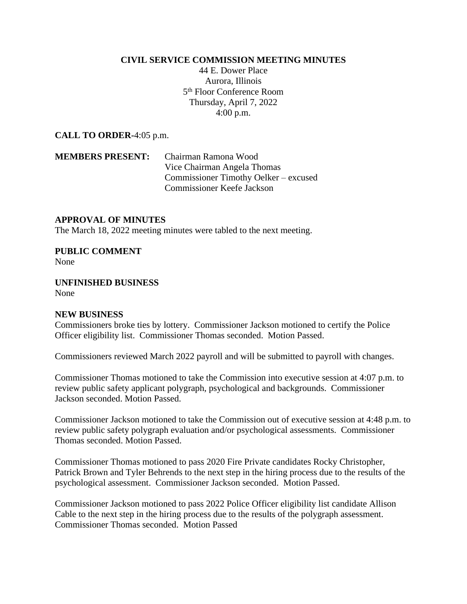## **CIVIL SERVICE COMMISSION MEETING MINUTES**

44 E. Dower Place Aurora, Illinois 5 th Floor Conference Room Thursday, April 7, 2022 4:00 p.m.

**CALL TO ORDER-**4:05 p.m.

**MEMBERS PRESENT:** Chairman Ramona Wood Vice Chairman Angela Thomas Commissioner Timothy Oelker – excused Commissioner Keefe Jackson

## **APPROVAL OF MINUTES**

The March 18, 2022 meeting minutes were tabled to the next meeting.

**PUBLIC COMMENT** None

**UNFINISHED BUSINESS** None

## **NEW BUSINESS**

Commissioners broke ties by lottery. Commissioner Jackson motioned to certify the Police Officer eligibility list. Commissioner Thomas seconded. Motion Passed.

Commissioners reviewed March 2022 payroll and will be submitted to payroll with changes.

Commissioner Thomas motioned to take the Commission into executive session at 4:07 p.m. to review public safety applicant polygraph, psychological and backgrounds. Commissioner Jackson seconded. Motion Passed.

Commissioner Jackson motioned to take the Commission out of executive session at 4:48 p.m. to review public safety polygraph evaluation and/or psychological assessments. Commissioner Thomas seconded. Motion Passed.

Commissioner Thomas motioned to pass 2020 Fire Private candidates Rocky Christopher, Patrick Brown and Tyler Behrends to the next step in the hiring process due to the results of the psychological assessment. Commissioner Jackson seconded. Motion Passed.

Commissioner Jackson motioned to pass 2022 Police Officer eligibility list candidate Allison Cable to the next step in the hiring process due to the results of the polygraph assessment. Commissioner Thomas seconded. Motion Passed